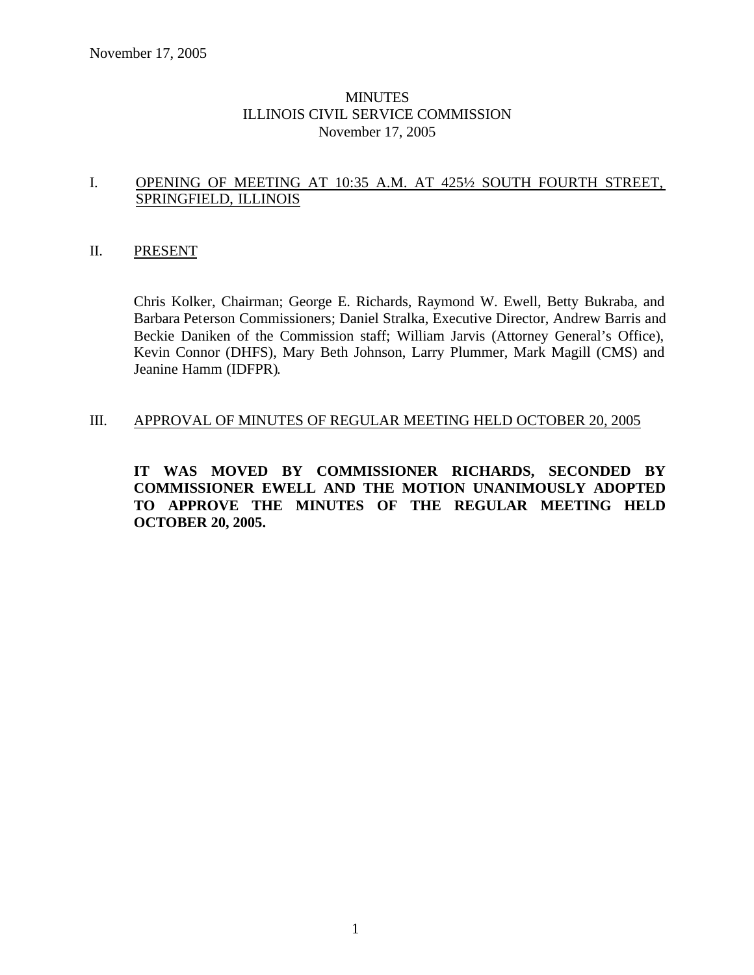## **MINUTES** ILLINOIS CIVIL SERVICE COMMISSION November 17, 2005

## I. OPENING OF MEETING AT 10:35 A.M. AT 425½ SOUTH FOURTH STREET, SPRINGFIELD, ILLINOIS

#### II. PRESENT

Chris Kolker, Chairman; George E. Richards, Raymond W. Ewell, Betty Bukraba, and Barbara Peterson Commissioners; Daniel Stralka, Executive Director, Andrew Barris and Beckie Daniken of the Commission staff; William Jarvis (Attorney General's Office), Kevin Connor (DHFS), Mary Beth Johnson, Larry Plummer, Mark Magill (CMS) and Jeanine Hamm (IDFPR).

#### III. APPROVAL OF MINUTES OF REGULAR MEETING HELD OCTOBER 20, 2005

**IT WAS MOVED BY COMMISSIONER RICHARDS, SECONDED BY COMMISSIONER EWELL AND THE MOTION UNANIMOUSLY ADOPTED TO APPROVE THE MINUTES OF THE REGULAR MEETING HELD OCTOBER 20, 2005.**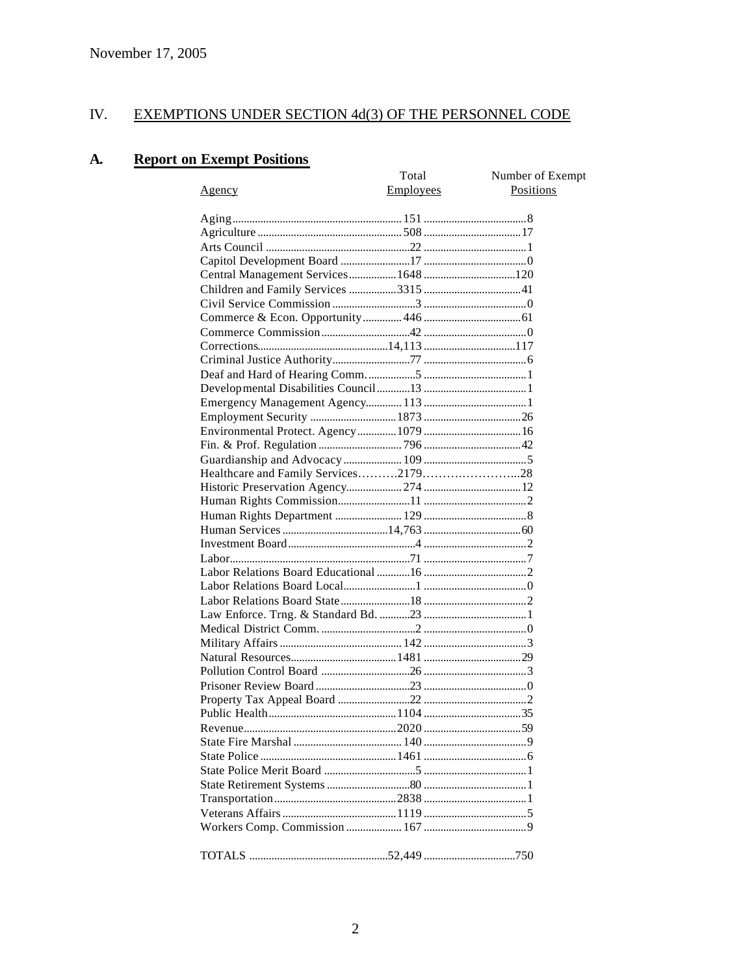#### IV. **EXEMPTIONS UNDER SECTION 4d(3) OF THE PERSONNEL CODE**

#### **A. Report on Exempt Positions**

|                                     | Total     | Number of Exempt |
|-------------------------------------|-----------|------------------|
| <u>Agency</u>                       | Employees | Positions        |
|                                     |           |                  |
|                                     |           |                  |
|                                     |           |                  |
|                                     |           |                  |
|                                     |           |                  |
| Central Management Services 1648120 |           |                  |
|                                     |           |                  |
|                                     |           |                  |
|                                     |           |                  |
|                                     |           |                  |
|                                     |           |                  |
|                                     |           |                  |
|                                     |           |                  |
|                                     |           |                  |
|                                     |           |                  |
|                                     |           |                  |
|                                     |           |                  |
|                                     |           |                  |
|                                     |           |                  |
|                                     |           |                  |
|                                     |           |                  |
|                                     |           |                  |
|                                     |           |                  |
|                                     |           |                  |
|                                     |           |                  |
|                                     |           |                  |
|                                     |           |                  |
|                                     |           |                  |
|                                     |           |                  |
|                                     |           |                  |
|                                     |           |                  |
|                                     |           |                  |
|                                     |           |                  |
|                                     |           |                  |
|                                     |           |                  |
|                                     |           |                  |
|                                     |           |                  |
|                                     |           |                  |
|                                     |           |                  |
|                                     |           |                  |
|                                     |           |                  |
|                                     |           |                  |
|                                     |           |                  |
|                                     |           |                  |
|                                     |           |                  |
|                                     |           |                  |
|                                     |           |                  |
|                                     |           |                  |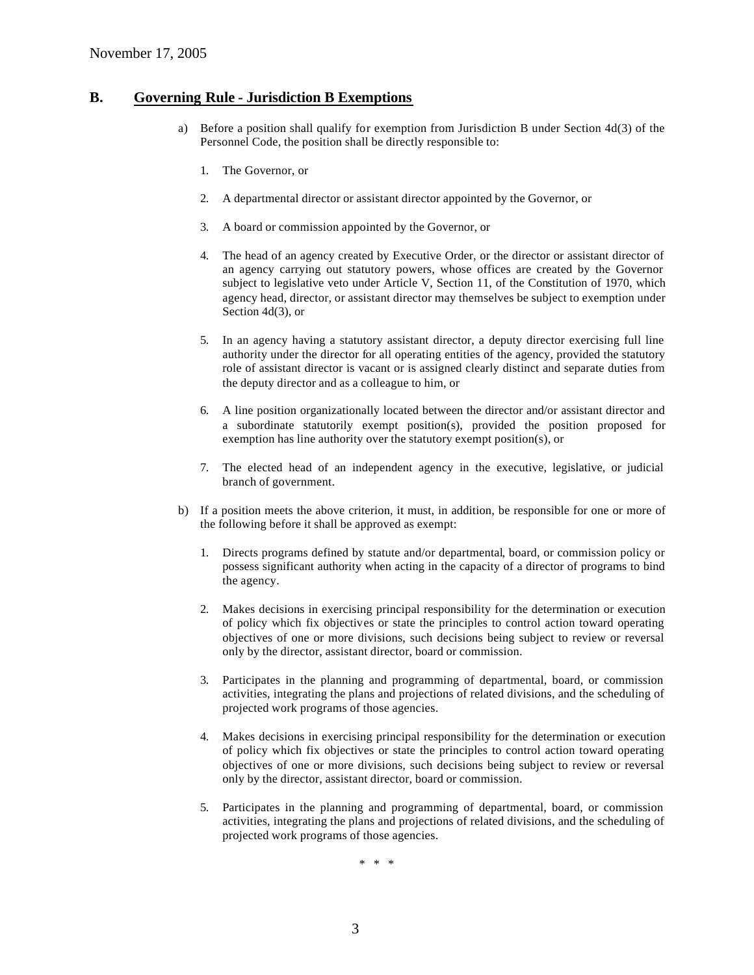#### **B. Governing Rule - Jurisdiction B Exemptions**

- a) Before a position shall qualify for exemption from Jurisdiction B under Section 4d(3) of the Personnel Code, the position shall be directly responsible to:
	- 1. The Governor, or
	- 2. A departmental director or assistant director appointed by the Governor, or
	- 3. A board or commission appointed by the Governor, or
	- 4. The head of an agency created by Executive Order, or the director or assistant director of an agency carrying out statutory powers, whose offices are created by the Governor subject to legislative veto under Article V, Section 11, of the Constitution of 1970, which agency head, director, or assistant director may themselves be subject to exemption under Section 4d(3), or
	- 5. In an agency having a statutory assistant director, a deputy director exercising full line authority under the director for all operating entities of the agency, provided the statutory role of assistant director is vacant or is assigned clearly distinct and separate duties from the deputy director and as a colleague to him, or
	- 6. A line position organizationally located between the director and/or assistant director and a subordinate statutorily exempt position(s), provided the position proposed for exemption has line authority over the statutory exempt position(s), or
	- 7. The elected head of an independent agency in the executive, legislative, or judicial branch of government.
- b) If a position meets the above criterion, it must, in addition, be responsible for one or more of the following before it shall be approved as exempt:
	- 1. Directs programs defined by statute and/or departmental, board, or commission policy or possess significant authority when acting in the capacity of a director of programs to bind the agency.
	- 2. Makes decisions in exercising principal responsibility for the determination or execution of policy which fix objectives or state the principles to control action toward operating objectives of one or more divisions, such decisions being subject to review or reversal only by the director, assistant director, board or commission.
	- 3. Participates in the planning and programming of departmental, board, or commission activities, integrating the plans and projections of related divisions, and the scheduling of projected work programs of those agencies.
	- 4. Makes decisions in exercising principal responsibility for the determination or execution of policy which fix objectives or state the principles to control action toward operating objectives of one or more divisions, such decisions being subject to review or reversal only by the director, assistant director, board or commission.
	- 5. Participates in the planning and programming of departmental, board, or commission activities, integrating the plans and projections of related divisions, and the scheduling of projected work programs of those agencies.

\* \* \*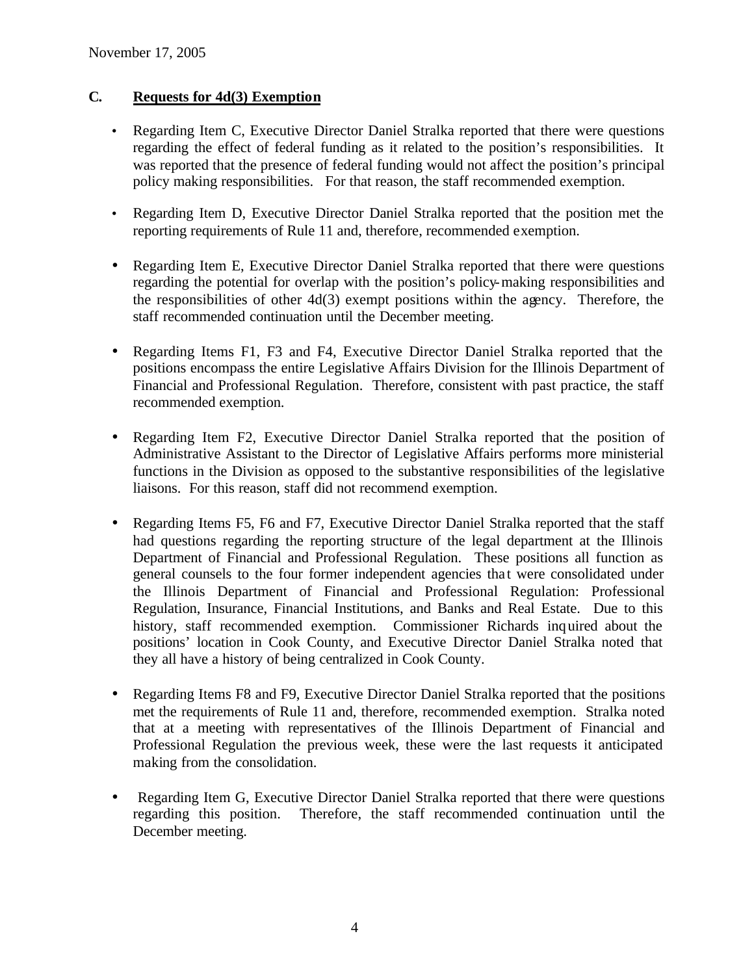# **C. Requests for 4d(3) Exemption**

- Regarding Item C, Executive Director Daniel Stralka reported that there were questions regarding the effect of federal funding as it related to the position's responsibilities. It was reported that the presence of federal funding would not affect the position's principal policy making responsibilities. For that reason, the staff recommended exemption.
- Regarding Item D, Executive Director Daniel Stralka reported that the position met the reporting requirements of Rule 11 and, therefore, recommended exemption.
- Regarding Item E. Executive Director Daniel Stralka reported that there were questions regarding the potential for overlap with the position's policy-making responsibilities and the responsibilities of other 4d(3) exempt positions within the agency. Therefore, the staff recommended continuation until the December meeting.
- Regarding Items F1, F3 and F4, Executive Director Daniel Stralka reported that the positions encompass the entire Legislative Affairs Division for the Illinois Department of Financial and Professional Regulation. Therefore, consistent with past practice, the staff recommended exemption.
- Regarding Item F2, Executive Director Daniel Stralka reported that the position of Administrative Assistant to the Director of Legislative Affairs performs more ministerial functions in the Division as opposed to the substantive responsibilities of the legislative liaisons. For this reason, staff did not recommend exemption.
- Regarding Items F5, F6 and F7, Executive Director Daniel Stralka reported that the staff had questions regarding the reporting structure of the legal department at the Illinois Department of Financial and Professional Regulation. These positions all function as general counsels to the four former independent agencies tha t were consolidated under the Illinois Department of Financial and Professional Regulation: Professional Regulation, Insurance, Financial Institutions, and Banks and Real Estate. Due to this history, staff recommended exemption. Commissioner Richards inquired about the positions' location in Cook County, and Executive Director Daniel Stralka noted that they all have a history of being centralized in Cook County.
- Regarding Items F8 and F9, Executive Director Daniel Stralka reported that the positions met the requirements of Rule 11 and, therefore, recommended exemption. Stralka noted that at a meeting with representatives of the Illinois Department of Financial and Professional Regulation the previous week, these were the last requests it anticipated making from the consolidation.
- Regarding Item G, Executive Director Daniel Stralka reported that there were questions regarding this position. Therefore, the staff recommended continuation until the December meeting.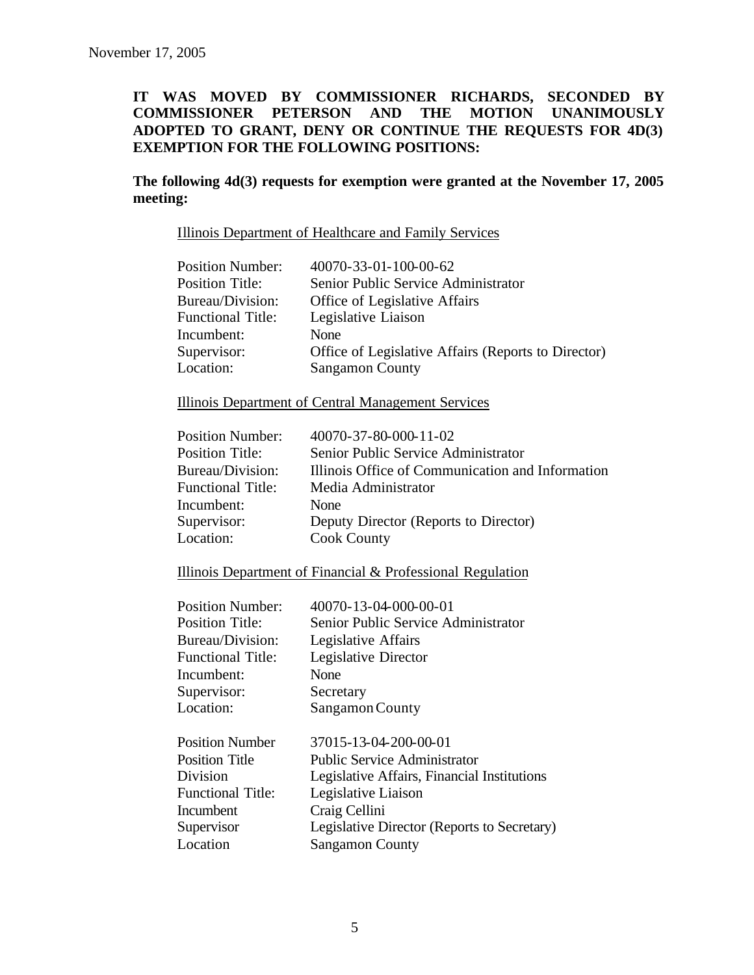## **IT WAS MOVED BY COMMISSIONER RICHARDS, SECONDED BY COMMISSIONER PETERSON AND THE MOTION UNANIMOUSLY ADOPTED TO GRANT, DENY OR CONTINUE THE REQUESTS FOR 4D(3) EXEMPTION FOR THE FOLLOWING POSITIONS:**

#### **The following 4d(3) requests for exemption were granted at the November 17, 2005 meeting:**

Illinois Department of Healthcare and Family Services

| <b>Position Number:</b>  | 40070-33-01-100-00-62                               |
|--------------------------|-----------------------------------------------------|
| <b>Position Title:</b>   | Senior Public Service Administrator                 |
| Bureau/Division:         | Office of Legislative Affairs                       |
| <b>Functional Title:</b> | Legislative Liaison                                 |
| Incumbent:               | None                                                |
| Supervisor:              | Office of Legislative Affairs (Reports to Director) |
| Location:                | <b>Sangamon County</b>                              |

Illinois Department of Central Management Services

| <b>Position Number:</b>  | 40070-37-80-000-11-02                            |
|--------------------------|--------------------------------------------------|
| <b>Position Title:</b>   | Senior Public Service Administrator              |
| Bureau/Division:         | Illinois Office of Communication and Information |
| <b>Functional Title:</b> | Media Administrator                              |
| Incumbent:               | None                                             |
| Supervisor:              | Deputy Director (Reports to Director)            |
| Location:                | <b>Cook County</b>                               |

Illinois Department of Financial & Professional Regulation

| <b>Position Number:</b>  | 40070-13-04-000-00-01                       |
|--------------------------|---------------------------------------------|
| Position Title:          | Senior Public Service Administrator         |
| Bureau/Division:         | Legislative Affairs                         |
| <b>Functional Title:</b> | Legislative Director                        |
| Incumbent:               | None                                        |
| Supervisor:              | Secretary                                   |
| Location:                | Sangamon County                             |
|                          |                                             |
| <b>Position Number</b>   | 37015-13-04-200-00-01                       |
| <b>Position Title</b>    | <b>Public Service Administrator</b>         |
| Division                 | Legislative Affairs, Financial Institutions |
| <b>Functional Title:</b> | Legislative Liaison                         |
| Incumbent                | Craig Cellini                               |
| Supervisor               | Legislative Director (Reports to Secretary) |
| Location                 | <b>Sangamon County</b>                      |
|                          |                                             |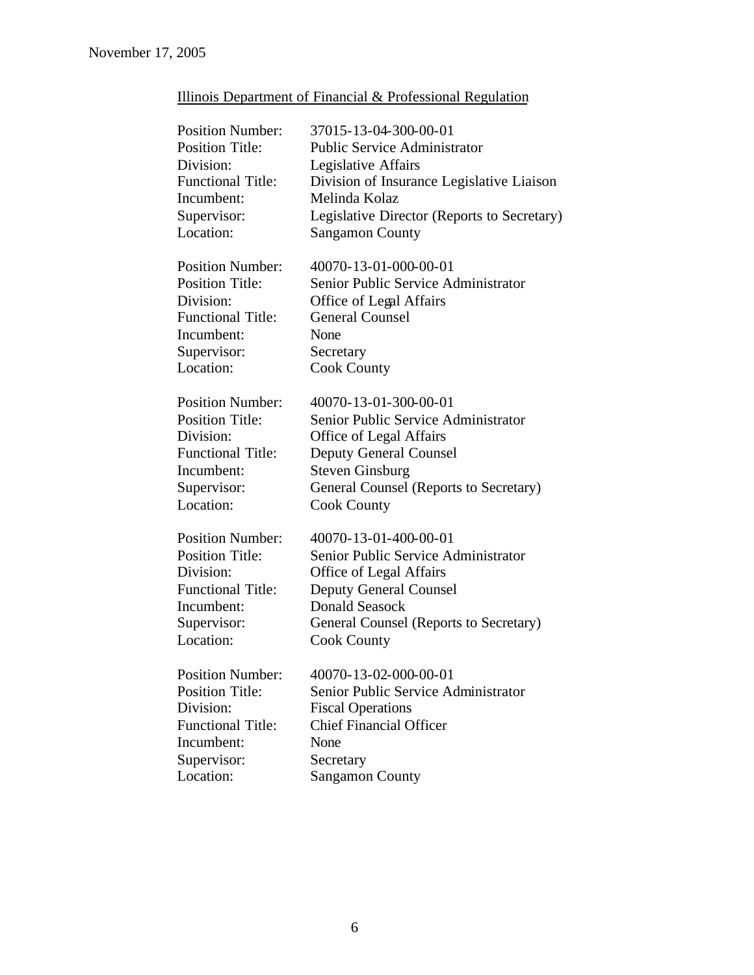| Illinois Department of Financial & Professional Regulation |  |  |  |  |  |
|------------------------------------------------------------|--|--|--|--|--|
|------------------------------------------------------------|--|--|--|--|--|

| <b>Position Number:</b>  | 37015-13-04-300-00-01                       |
|--------------------------|---------------------------------------------|
| <b>Position Title:</b>   | <b>Public Service Administrator</b>         |
| Division:                | Legislative Affairs                         |
| <b>Functional Title:</b> | Division of Insurance Legislative Liaison   |
| Incumbent:               | Melinda Kolaz                               |
| Supervisor:              | Legislative Director (Reports to Secretary) |
| Location:                | <b>Sangamon County</b>                      |
| <b>Position Number:</b>  | 40070-13-01-000-00-01                       |
| <b>Position Title:</b>   | Senior Public Service Administrator         |
| Division:                | Office of Legal Affairs                     |
| <b>Functional Title:</b> | <b>General Counsel</b>                      |
| Incumbent:               | None                                        |
| Supervisor:              | Secretary                                   |
| Location:                | <b>Cook County</b>                          |
| <b>Position Number:</b>  | 40070-13-01-300-00-01                       |
| <b>Position Title:</b>   | Senior Public Service Administrator         |
| Division:                | <b>Office of Legal Affairs</b>              |
| <b>Functional Title:</b> | <b>Deputy General Counsel</b>               |
| Incumbent:               | <b>Steven Ginsburg</b>                      |
| Supervisor:              | General Counsel (Reports to Secretary)      |
| Location:                | <b>Cook County</b>                          |
| <b>Position Number:</b>  | 40070-13-01-400-00-01                       |
| <b>Position Title:</b>   | Senior Public Service Administrator         |
| Division:                | <b>Office of Legal Affairs</b>              |
| <b>Functional Title:</b> | <b>Deputy General Counsel</b>               |
| Incumbent:               | <b>Donald Seasock</b>                       |
| Supervisor:              | General Counsel (Reports to Secretary)      |
| Location:                | <b>Cook County</b>                          |
| <b>Position Number:</b>  | 40070-13-02-000-00-01                       |
| <b>Position Title:</b>   | Senior Public Service Administrator         |
| Division:                | <b>Fiscal Operations</b>                    |
| <b>Functional Title:</b> | <b>Chief Financial Officer</b>              |
| Incumbent:               | None                                        |
| Supervisor:              | Secretary                                   |
| Location:                | <b>Sangamon County</b>                      |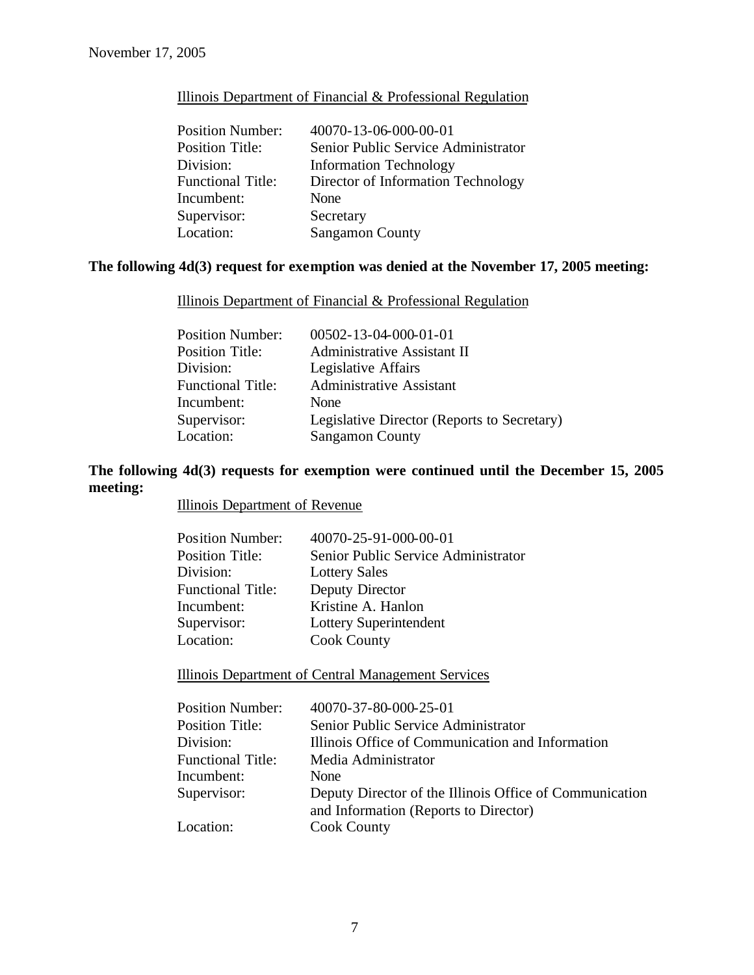## Illinois Department of Financial & Professional Regulation

| <b>Position Number:</b>  | 40070-13-06-000-00-01               |
|--------------------------|-------------------------------------|
| <b>Position Title:</b>   | Senior Public Service Administrator |
| Division:                | <b>Information Technology</b>       |
| <b>Functional Title:</b> | Director of Information Technology  |
| Incumbent:               | None                                |
| Supervisor:              | Secretary                           |
| Location:                | <b>Sangamon County</b>              |

# **The following 4d(3) request for exemption was denied at the November 17, 2005 meeting:**

Illinois Department of Financial & Professional Regulation

| <b>Position Number:</b>  | $00502 - 13 - 04 - 000 - 01 - 01$           |
|--------------------------|---------------------------------------------|
| <b>Position Title:</b>   | <b>Administrative Assistant II</b>          |
| Division:                | Legislative Affairs                         |
| <b>Functional Title:</b> | <b>Administrative Assistant</b>             |
| Incumbent:               | None                                        |
| Supervisor:              | Legislative Director (Reports to Secretary) |
| Location:                | <b>Sangamon County</b>                      |

# **The following 4d(3) requests for exemption were continued until the December 15, 2005 meeting:**

Illinois Department of Revenue

| <b>Position Number:</b>  | 40070-25-91-000-00-01               |
|--------------------------|-------------------------------------|
| <b>Position Title:</b>   | Senior Public Service Administrator |
| Division:                | <b>Lottery Sales</b>                |
| <b>Functional Title:</b> | Deputy Director                     |
| Incumbent:               | Kristine A. Hanlon                  |
| Supervisor:              | Lottery Superintendent              |
| Location:                | <b>Cook County</b>                  |
|                          |                                     |

Illinois Department of Central Management Services

| Illinois Office of Communication and Information        |
|---------------------------------------------------------|
|                                                         |
|                                                         |
| Deputy Director of the Illinois Office of Communication |
|                                                         |
|                                                         |
|                                                         |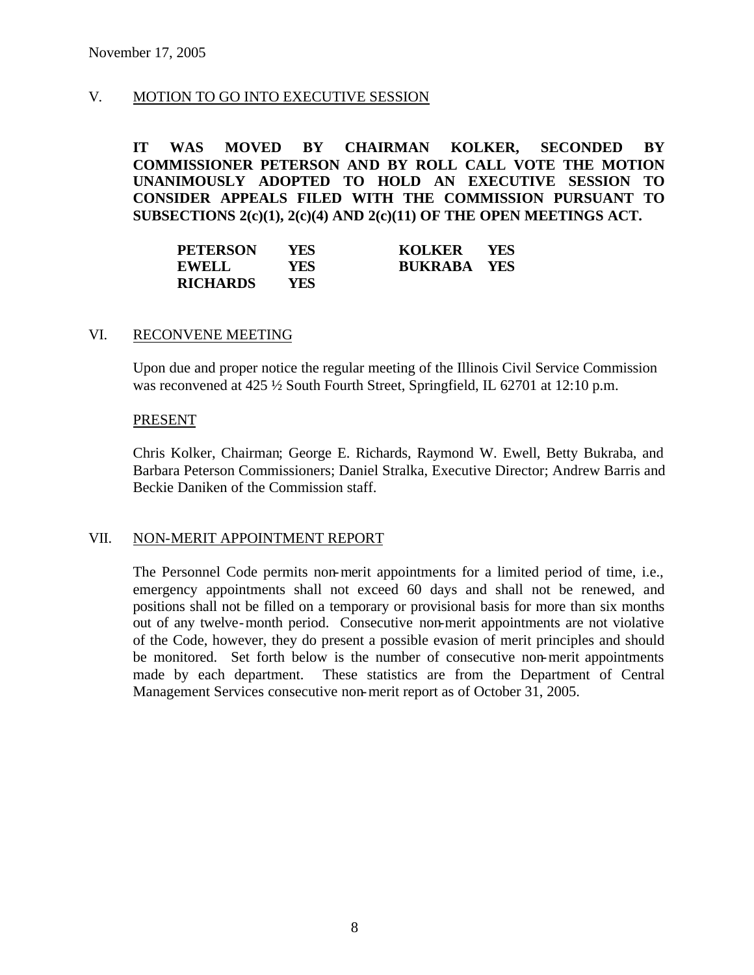## V. MOTION TO GO INTO EXECUTIVE SESSION

**IT WAS MOVED BY CHAIRMAN KOLKER, SECONDED BY COMMISSIONER PETERSON AND BY ROLL CALL VOTE THE MOTION UNANIMOUSLY ADOPTED TO HOLD AN EXECUTIVE SESSION TO CONSIDER APPEALS FILED WITH THE COMMISSION PURSUANT TO SUBSECTIONS 2(c)(1), 2(c)(4) AND 2(c)(11) OF THE OPEN MEETINGS ACT.** 

| <b>PETERSON</b> | YES  | <b>KOLKER</b>      | <b>YES</b> |
|-----------------|------|--------------------|------------|
| <b>EWELL</b>    | YES. | <b>BUKRABA YES</b> |            |
| <b>RICHARDS</b> | YES. |                    |            |

#### VI. RECONVENE MEETING

Upon due and proper notice the regular meeting of the Illinois Civil Service Commission was reconvened at 425  $\frac{1}{2}$  South Fourth Street, Springfield, IL 62701 at 12:10 p.m.

#### PRESENT

Chris Kolker, Chairman; George E. Richards, Raymond W. Ewell, Betty Bukraba, and Barbara Peterson Commissioners; Daniel Stralka, Executive Director; Andrew Barris and Beckie Daniken of the Commission staff.

#### VII. NON-MERIT APPOINTMENT REPORT

The Personnel Code permits non-merit appointments for a limited period of time, i.e., emergency appointments shall not exceed 60 days and shall not be renewed, and positions shall not be filled on a temporary or provisional basis for more than six months out of any twelve-month period. Consecutive non-merit appointments are not violative of the Code, however, they do present a possible evasion of merit principles and should be monitored. Set forth below is the number of consecutive non-merit appointments made by each department. These statistics are from the Department of Central Management Services consecutive non-merit report as of October 31, 2005.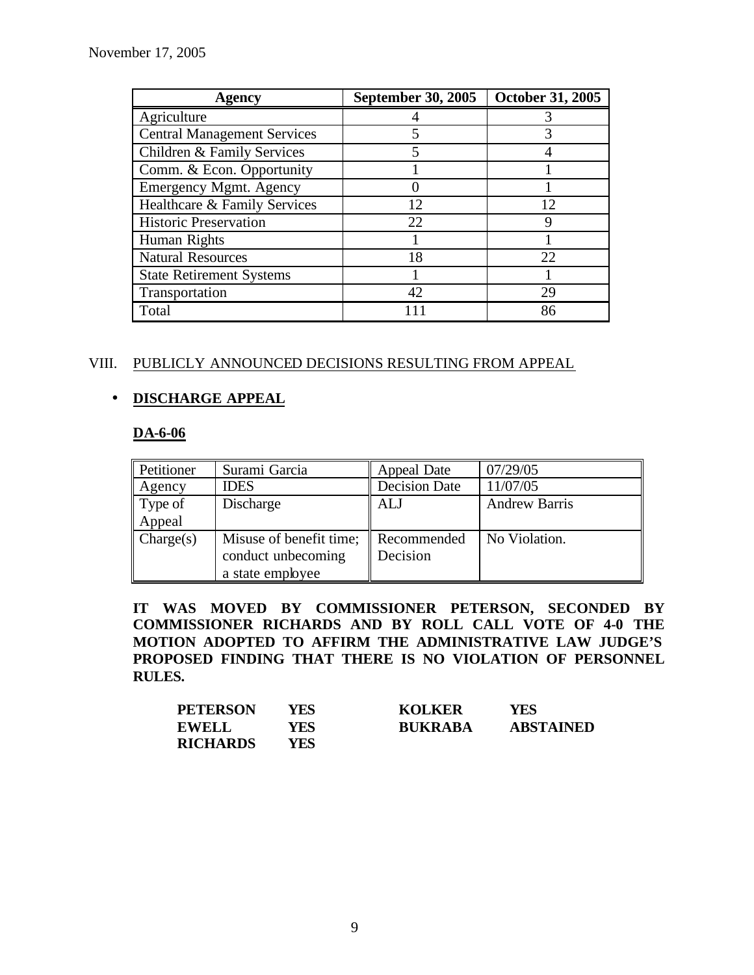| Agency                             | <b>September 30, 2005</b> | <b>October 31, 2005</b> |
|------------------------------------|---------------------------|-------------------------|
| Agriculture                        |                           |                         |
| <b>Central Management Services</b> | 5                         | 3                       |
| Children & Family Services         | 5                         |                         |
| Comm. & Econ. Opportunity          |                           |                         |
| <b>Emergency Mgmt. Agency</b>      |                           |                         |
| Healthcare & Family Services       | 12                        | 12                      |
| <b>Historic Preservation</b>       | 22                        |                         |
| Human Rights                       |                           |                         |
| <b>Natural Resources</b>           | 18                        | 22.                     |
| <b>State Retirement Systems</b>    |                           |                         |
| Transportation                     | 42                        | 29                      |
| Total                              |                           | 86                      |

# VIII. PUBLICLY ANNOUNCED DECISIONS RESULTING FROM APPEAL

# • **DISCHARGE APPEAL**

## **DA-6-06**

| <b>Petitioner</b>                | Surami Garcia           | Appeal Date          | 07/29/05             |
|----------------------------------|-------------------------|----------------------|----------------------|
| Agency                           | <b>IDES</b>             | <b>Decision Date</b> | 11/07/05             |
| $\parallel$ Type of              | Discharge               | ALJ                  | <b>Andrew Barris</b> |
| Appeal                           |                         |                      |                      |
| $\mathbf{\mathcal{C}}$ Charge(s) | Misuse of benefit time; | Recommended          | No Violation.        |
|                                  | conduct unbecoming      | Decision             |                      |
|                                  | a state employee        |                      |                      |

**IT WAS MOVED BY COMMISSIONER PETERSON, SECONDED BY COMMISSIONER RICHARDS AND BY ROLL CALL VOTE OF 4-0 THE MOTION ADOPTED TO AFFIRM THE ADMINISTRATIVE LAW JUDGE'S PROPOSED FINDING THAT THERE IS NO VIOLATION OF PERSONNEL RULES.**

| <b>PETERSON</b> | YFS  | <b>KOLKER</b>  | YES              |
|-----------------|------|----------------|------------------|
| <b>EWELL</b>    | YFS  | <b>BUKRABA</b> | <b>ABSTAINED</b> |
| <b>RICHARDS</b> | YES. |                |                  |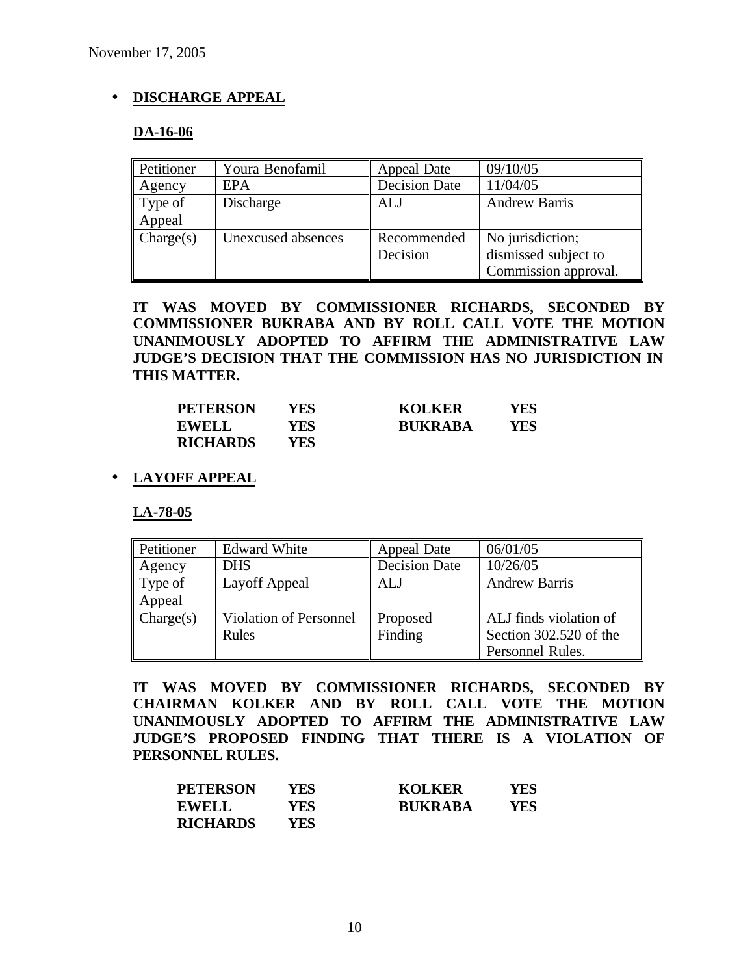# • **DISCHARGE APPEAL**

## **DA-16-06**

| Petitioner             | Youra Benofamil    | Appeal Date          | 09/10/05             |
|------------------------|--------------------|----------------------|----------------------|
| Agency                 | EPA                | <b>Decision Date</b> | 11/04/05             |
| $\parallel$ Type of    | Discharge          | <b>ALJ</b>           | <b>Andrew Barris</b> |
| Appeal                 |                    |                      |                      |
| $\mathbf{C}$ Charge(s) | Unexcused absences | Recommended          | No jurisdiction;     |
|                        |                    | Decision             | dismissed subject to |
|                        |                    |                      | Commission approval. |

**IT WAS MOVED BY COMMISSIONER RICHARDS, SECONDED BY COMMISSIONER BUKRABA AND BY ROLL CALL VOTE THE MOTION UNANIMOUSLY ADOPTED TO AFFIRM THE ADMINISTRATIVE LAW JUDGE'S DECISION THAT THE COMMISSION HAS NO JURISDICTION IN THIS MATTER.**

| <b>PETERSON</b> | YES | <b>KOLKER</b>  | YFS |
|-----------------|-----|----------------|-----|
| <b>EWELL</b>    | YFS | <b>BUKRABA</b> | YFS |
| <b>RICHARDS</b> | YES |                |     |

# • **LAYOFF APPEAL**

**LA-78-05**

| Petitioner                       | <b>Edward White</b>    | Appeal Date          | 06/01/05               |
|----------------------------------|------------------------|----------------------|------------------------|
| $\vert$ Agency                   | <b>DHS</b>             | <b>Decision Date</b> | 10/26/05               |
| $\parallel$ Type of              | Layoff Appeal          | ALJ                  | <b>Andrew Barris</b>   |
| Appeal                           |                        |                      |                        |
| $\mathbf{\mathcal{C}}$ Charge(s) | Violation of Personnel | Proposed             | ALJ finds violation of |
|                                  | Rules                  | Finding              | Section 302.520 of the |
|                                  |                        |                      | Personnel Rules.       |

**IT WAS MOVED BY COMMISSIONER RICHARDS, SECONDED BY CHAIRMAN KOLKER AND BY ROLL CALL VOTE THE MOTION UNANIMOUSLY ADOPTED TO AFFIRM THE ADMINISTRATIVE LAW JUDGE'S PROPOSED FINDING THAT THERE IS A VIOLATION OF PERSONNEL RULES.**

| <b>PETERSON</b> | YES  | <b>KOLKER</b>  | YES |
|-----------------|------|----------------|-----|
| <b>EWELL</b>    | YES  | <b>BUKRABA</b> | YES |
| <b>RICHARDS</b> | YFS. |                |     |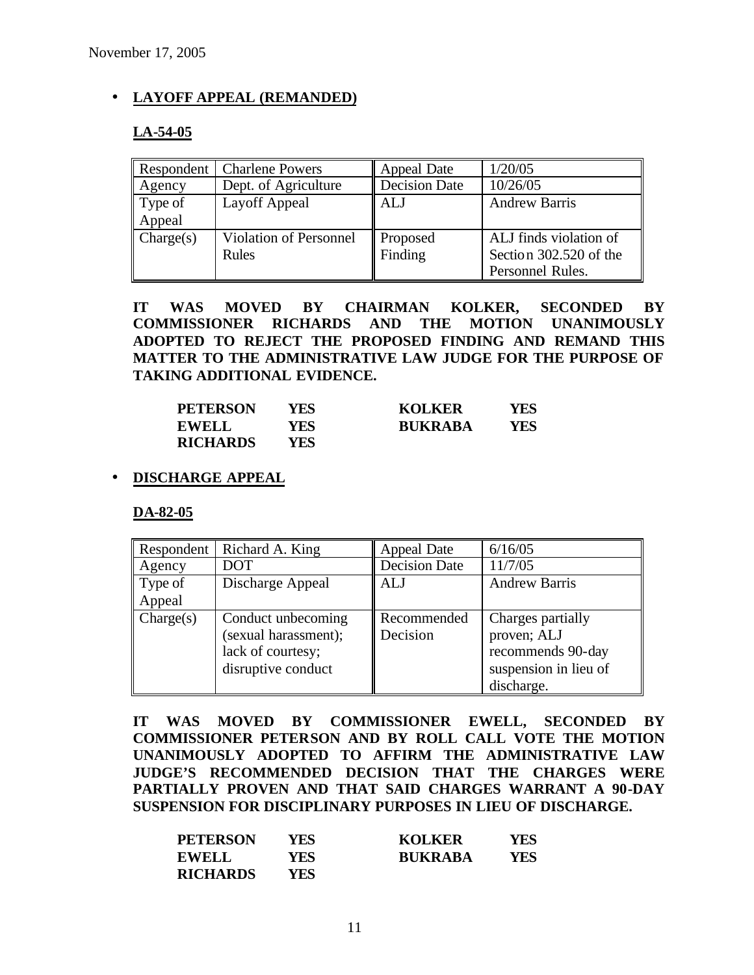## • **LAYOFF APPEAL (REMANDED)**

## **LA-54-05**

|                                  | Respondent   Charlene Powers  | <b>Appeal Date</b>   | 1/20/05                |
|----------------------------------|-------------------------------|----------------------|------------------------|
| $\parallel$ Agency               | Dept. of Agriculture          | <b>Decision Date</b> | 10/26/05               |
| $\parallel$ Type of              | Layoff Appeal                 | ALJ                  | <b>Andrew Barris</b>   |
| Appeal                           |                               |                      |                        |
| $\mathbf{\mathcal{C}}$ Charge(s) | <b>Violation of Personnel</b> | Proposed             | ALJ finds violation of |
|                                  | Rules                         | Finding              | Section 302.520 of the |
|                                  |                               |                      | Personnel Rules.       |

**IT WAS MOVED BY CHAIRMAN KOLKER, SECONDED BY COMMISSIONER RICHARDS AND THE MOTION UNANIMOUSLY ADOPTED TO REJECT THE PROPOSED FINDING AND REMAND THIS MATTER TO THE ADMINISTRATIVE LAW JUDGE FOR THE PURPOSE OF TAKING ADDITIONAL EVIDENCE.**

| <b>PETERSON</b> | YES        | <b>KOLKER</b>  | YES |
|-----------------|------------|----------------|-----|
| <b>EWELL</b>    | YES        | <b>BUKRABA</b> | YES |
| <b>RICHARDS</b> | <b>YES</b> |                |     |

## • **DISCHARGE APPEAL**

**DA-82-05**

| Respondent             | Richard A. King      | <b>Appeal Date</b>   | 6/16/05               |
|------------------------|----------------------|----------------------|-----------------------|
| $\overline{A}$ Agency  | <b>DOT</b>           | <b>Decision Date</b> | 11/7/05               |
| Type of                | Discharge Appeal     | ALJ                  | <b>Andrew Barris</b>  |
| Appeal                 |                      |                      |                       |
| $\mathbf{C}$ Charge(s) | Conduct unbecoming   | Recommended          | Charges partially     |
|                        | (sexual harassment); | Decision             | proven; ALJ           |
|                        | lack of courtesy;    |                      | recommends 90-day     |
|                        | disruptive conduct   |                      | suspension in lieu of |
|                        |                      |                      | discharge.            |

**IT WAS MOVED BY COMMISSIONER EWELL, SECONDED BY COMMISSIONER PETERSON AND BY ROLL CALL VOTE THE MOTION UNANIMOUSLY ADOPTED TO AFFIRM THE ADMINISTRATIVE LAW JUDGE'S RECOMMENDED DECISION THAT THE CHARGES WERE PARTIALLY PROVEN AND THAT SAID CHARGES WARRANT A 90-DAY SUSPENSION FOR DISCIPLINARY PURPOSES IN LIEU OF DISCHARGE.**

| <b>PETERSON</b> | YFS | <b>KOLKER</b>  | YFS |
|-----------------|-----|----------------|-----|
| <b>EWELL</b>    | YES | <b>BUKRABA</b> | YFS |
| <b>RICHARDS</b> | YES |                |     |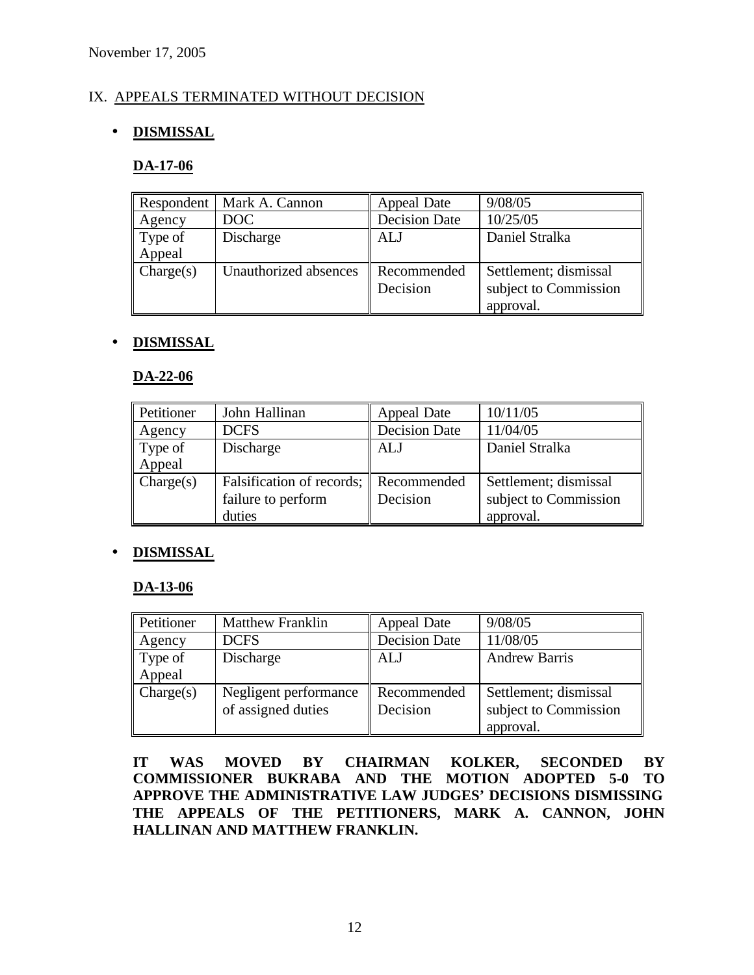# IX. APPEALS TERMINATED WITHOUT DECISION

# • **DISMISSAL**

## **DA-17-06**

|                    | Respondent   Mark A. Cannon | Appeal Date          | 9/08/05               |
|--------------------|-----------------------------|----------------------|-----------------------|
| $\vert$ Agency     | DOC                         | <b>Decision Date</b> | 10/25/05              |
| Type of            | Discharge                   | <b>ALJ</b>           | Daniel Stralka        |
| Appeal             |                             |                      |                       |
| $\text{Change}(s)$ | Unauthorized absences       | Recommended          | Settlement; dismissal |
|                    |                             | Decision             | subject to Commission |
|                    |                             |                      | approval.             |

## • **DISMISSAL**

## **DA-22-06**

| <b>Petitioner</b>      | John Hallinan                         | Appeal Date          | 10/11/05              |
|------------------------|---------------------------------------|----------------------|-----------------------|
| Agency                 | <b>DCFS</b>                           | <b>Decision Date</b> | 11/04/05              |
| Type of                | Discharge                             | ALJ                  | Daniel Stralka        |
| Appeal                 |                                       |                      |                       |
| $\mathbf{C}$ Charge(s) | Falsification of records; Recommended |                      | Settlement; dismissal |
|                        | failure to perform                    | Decision             | subject to Commission |
|                        | duties                                |                      | approval.             |

## • **DISMISSAL**

#### **DA-13-06**

| Petitioner                       | <b>Matthew Franklin</b> | Appeal Date          | 9/08/05               |
|----------------------------------|-------------------------|----------------------|-----------------------|
| Agency                           | <b>DCFS</b>             | <b>Decision Date</b> | 11/08/05              |
| $\parallel$ Type of              | Discharge               | ALJ                  | <b>Andrew Barris</b>  |
| Appeal                           |                         |                      |                       |
| $\mathbf{\mathcal{C}}$ Charge(s) | Negligent performance   | Recommended          | Settlement; dismissal |
|                                  | of assigned duties      | Decision             | subject to Commission |
|                                  |                         |                      | approval.             |

**IT WAS MOVED BY CHAIRMAN KOLKER, SECONDED BY COMMISSIONER BUKRABA AND THE MOTION ADOPTED 5-0 TO APPROVE THE ADMINISTRATIVE LAW JUDGES' DECISIONS DISMISSING THE APPEALS OF THE PETITIONERS, MARK A. CANNON, JOHN HALLINAN AND MATTHEW FRANKLIN.**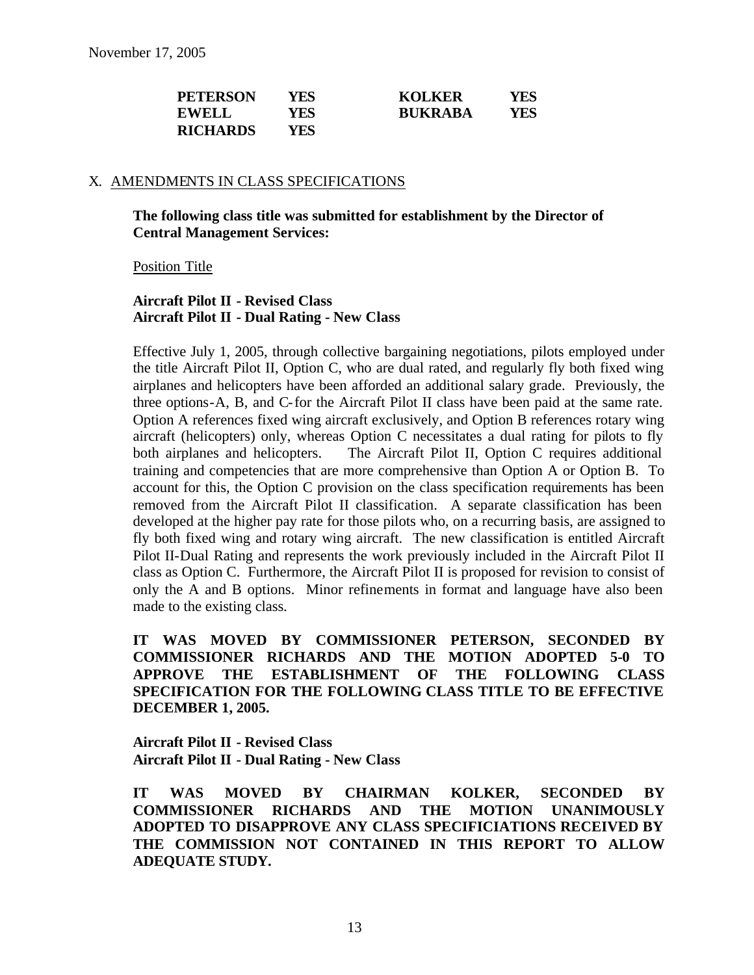| <b>PETERSON</b> | YES   | <b>KOLKER</b>  | YES |
|-----------------|-------|----------------|-----|
| <b>EWELL</b>    | YES . | <b>BUKRABA</b> | YES |
| <b>RICHARDS</b> | YES . |                |     |

#### X. AMENDMENTS IN CLASS SPECIFICATIONS

#### **The following class title was submitted for establishment by the Director of Central Management Services:**

Position Title

#### **Aircraft Pilot II - Revised Class Aircraft Pilot II - Dual Rating - New Class**

Effective July 1, 2005, through collective bargaining negotiations, pilots employed under the title Aircraft Pilot II, Option C, who are dual rated, and regularly fly both fixed wing airplanes and helicopters have been afforded an additional salary grade. Previously, the three options-A, B, and C-for the Aircraft Pilot II class have been paid at the same rate. Option A references fixed wing aircraft exclusively, and Option B references rotary wing aircraft (helicopters) only, whereas Option C necessitates a dual rating for pilots to fly both airplanes and helicopters. The Aircraft Pilot II, Option C requires additional training and competencies that are more comprehensive than Option A or Option B. To account for this, the Option C provision on the class specification requirements has been removed from the Aircraft Pilot II classification. A separate classification has been developed at the higher pay rate for those pilots who, on a recurring basis, are assigned to fly both fixed wing and rotary wing aircraft. The new classification is entitled Aircraft Pilot II-Dual Rating and represents the work previously included in the Aircraft Pilot II class as Option C. Furthermore, the Aircraft Pilot II is proposed for revision to consist of only the A and B options. Minor refinements in format and language have also been made to the existing class.

**IT WAS MOVED BY COMMISSIONER PETERSON, SECONDED BY COMMISSIONER RICHARDS AND THE MOTION ADOPTED 5-0 TO APPROVE THE ESTABLISHMENT OF THE FOLLOWING CLASS SPECIFICATION FOR THE FOLLOWING CLASS TITLE TO BE EFFECTIVE DECEMBER 1, 2005.** 

**Aircraft Pilot II - Revised Class Aircraft Pilot II - Dual Rating - New Class**

**IT WAS MOVED BY CHAIRMAN KOLKER, SECONDED BY COMMISSIONER RICHARDS AND THE MOTION UNANIMOUSLY ADOPTED TO DISAPPROVE ANY CLASS SPECIFICIATIONS RECEIVED BY THE COMMISSION NOT CONTAINED IN THIS REPORT TO ALLOW ADEQUATE STUDY.**